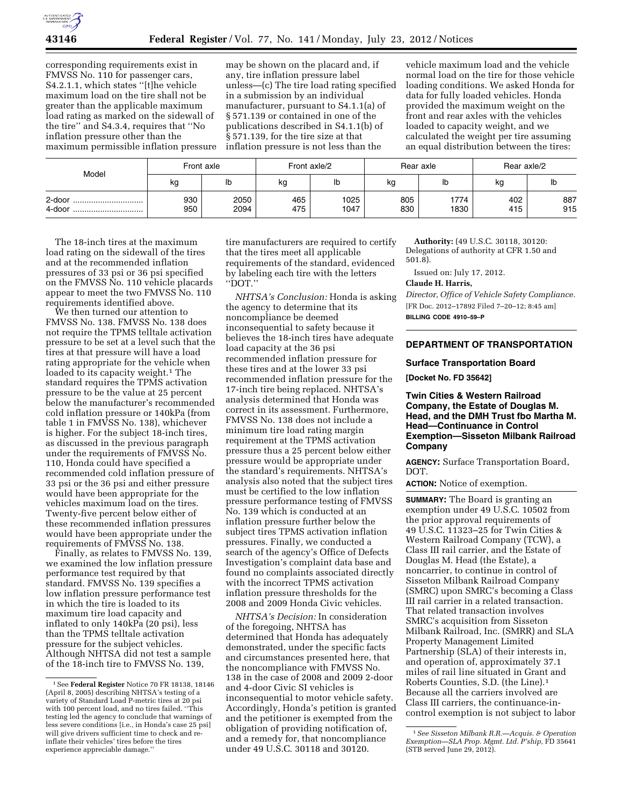corresponding requirements exist in FMVSS No. 110 for passenger cars, S4.2.1.1, which states ''[t]he vehicle maximum load on the tire shall not be greater than the applicable maximum load rating as marked on the sidewall of the tire'' and S4.3.4, requires that ''No inflation pressure other than the maximum permissible inflation pressure

may be shown on the placard and, if any, tire inflation pressure label unless—(c) The tire load rating specified in a submission by an individual manufacturer, pursuant to S4.1.1(a) of § 571.139 or contained in one of the publications described in S4.1.1(b) of § 571.139, for the tire size at that inflation pressure is not less than the

vehicle maximum load and the vehicle normal load on the tire for those vehicle loading conditions. We asked Honda for data for fully loaded vehicles. Honda provided the maximum weight on the front and rear axles with the vehicles loaded to capacity weight, and we calculated the weight per tire assuming an equal distribution between the tires:

| Model                    | Front axle |              | Front axle/2 |              | Rear axle  |              | Rear axle/2 |            |
|--------------------------|------------|--------------|--------------|--------------|------------|--------------|-------------|------------|
|                          | kg         | lb           | kg           | שו           | kg         | lb           | kg          | lb         |
| 2-door<br><br>4-door<br> | 930<br>950 | 2050<br>2094 | 465<br>475   | 1025<br>1047 | 805<br>830 | 1774<br>1830 | 402<br>415  | 887<br>915 |

The 18-inch tires at the maximum load rating on the sidewall of the tires and at the recommended inflation pressures of 33 psi or 36 psi specified on the FMVSS No. 110 vehicle placards appear to meet the two FMVSS No. 110 requirements identified above.

We then turned our attention to FMVSS No. 138. FMVSS No. 138 does not require the TPMS telltale activation pressure to be set at a level such that the tires at that pressure will have a load rating appropriate for the vehicle when loaded to its capacity weight.<sup>1</sup> The standard requires the TPMS activation pressure to be the value at 25 percent below the manufacturer's recommended cold inflation pressure or 140kPa (from table 1 in FMVSS No. 138), whichever is higher. For the subject 18-inch tires, as discussed in the previous paragraph under the requirements of FMVSS No. 110, Honda could have specified a recommended cold inflation pressure of 33 psi or the 36 psi and either pressure would have been appropriate for the vehicles maximum load on the tires. Twenty-five percent below either of these recommended inflation pressures would have been appropriate under the requirements of FMVSS No. 138.

Finally, as relates to FMVSS No. 139, we examined the low inflation pressure performance test required by that standard. FMVSS No. 139 specifies a low inflation pressure performance test in which the tire is loaded to its maximum tire load capacity and inflated to only 140kPa (20 psi), less than the TPMS telltale activation pressure for the subject vehicles. Although NHTSA did not test a sample of the 18-inch tire to FMVSS No. 139,

tire manufacturers are required to certify that the tires meet all applicable requirements of the standard, evidenced by labeling each tire with the letters ''DOT.''

*NHTSA's Conclusion:* Honda is asking the agency to determine that its noncompliance be deemed inconsequential to safety because it believes the 18-inch tires have adequate load capacity at the 36 psi recommended inflation pressure for these tires and at the lower 33 psi recommended inflation pressure for the 17-inch tire being replaced. NHTSA's analysis determined that Honda was correct in its assessment. Furthermore, FMVSS No. 138 does not include a minimum tire load rating margin requirement at the TPMS activation pressure thus a 25 percent below either pressure would be appropriate under the standard's requirements. NHTSA's analysis also noted that the subject tires must be certified to the low inflation pressure performance testing of FMVSS No. 139 which is conducted at an inflation pressure further below the subject tires TPMS activation inflation pressures. Finally, we conducted a search of the agency's Office of Defects Investigation's complaint data base and found no complaints associated directly with the incorrect TPMS activation inflation pressure thresholds for the 2008 and 2009 Honda Civic vehicles.

*NHTSA's Decision:* In consideration of the foregoing, NHTSA has determined that Honda has adequately demonstrated, under the specific facts and circumstances presented here, that the noncompliance with FMVSS No. 138 in the case of 2008 and 2009 2-door and 4-door Civic SI vehicles is inconsequential to motor vehicle safety. Accordingly, Honda's petition is granted and the petitioner is exempted from the obligation of providing notification of, and a remedy for, that noncompliance under 49 U.S.C. 30118 and 30120.

**Authority:** (49 U.S.C. 30118, 30120: Delegations of authority at CFR 1.50 and 501.8).

Issued on: July 17, 2012.

## **Claude H. Harris,**

*Director, Office of Vehicle Safety Compliance.*  [FR Doc. 2012–17892 Filed 7–20–12; 8:45 am] **BILLING CODE 4910–59–P** 

### **DEPARTMENT OF TRANSPORTATION**

#### **Surface Transportation Board**

**[Docket No. FD 35642]** 

**Twin Cities & Western Railroad Company, the Estate of Douglas M. Head, and the DMH Trust fbo Martha M. Head—Continuance in Control Exemption—Sisseton Milbank Railroad Company** 

**AGENCY:** Surface Transportation Board, DOT.

**ACTION:** Notice of exemption.

**SUMMARY:** The Board is granting an exemption under 49 U.S.C. 10502 from the prior approval requirements of 49 U.S.C. 11323–25 for Twin Cities & Western Railroad Company (TCW), a Class III rail carrier, and the Estate of Douglas M. Head (the Estate), a noncarrier, to continue in control of Sisseton Milbank Railroad Company (SMRC) upon SMRC's becoming a Class III rail carrier in a related transaction. That related transaction involves SMRC's acquisition from Sisseton Milbank Railroad, Inc. (SMRR) and SLA Property Management Limited Partnership (SLA) of their interests in, and operation of, approximately 37.1 miles of rail line situated in Grant and Roberts Counties, S.D. (the Line).1 Because all the carriers involved are Class III carriers, the continuance-incontrol exemption is not subject to labor

<sup>1</sup>See **Federal Register** Notice 70 FR 18138, 18146 (April 8, 2005) describing NHTSA's testing of a variety of Standard Load P-metric tires at 20 psi with 100 percent load, and no tires failed. ''This testing led the agency to conclude that warnings of less severe conditions [i.e., in Honda's case 25 psi] will give drivers sufficient time to check and reinflate their vehicles' tires before the tires experience appreciable damage.''

<sup>1</sup>*See Sisseton Milbank R.R.—Acquis. & Operation Exemption—SLA Prop. Mgmt. Ltd. P'ship,* FD 35641 (STB served June 29, 2012).